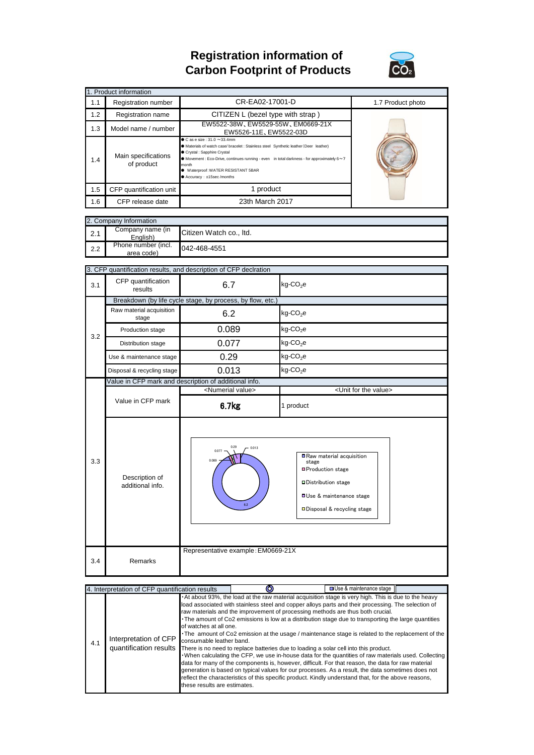## **Registration information of Carbon Footprint of Products**



| 1. Product information |                                                       |                                                                                                                                                                                                                                                                                                                                              |                                                                                                                                                                     |  |  |  |  |
|------------------------|-------------------------------------------------------|----------------------------------------------------------------------------------------------------------------------------------------------------------------------------------------------------------------------------------------------------------------------------------------------------------------------------------------------|---------------------------------------------------------------------------------------------------------------------------------------------------------------------|--|--|--|--|
| 1.1                    | Registration number                                   | CR-EA02-17001-D                                                                                                                                                                                                                                                                                                                              | 1.7 Product photo                                                                                                                                                   |  |  |  |  |
| 1.2                    | Registration name                                     | CITIZEN L (bezel type with strap)                                                                                                                                                                                                                                                                                                            |                                                                                                                                                                     |  |  |  |  |
| 1.3                    | Model name / number                                   | EW5522-38W, EW5529-55W, EM0669-21X<br>EW5526-11E, EW5522-03D                                                                                                                                                                                                                                                                                 |                                                                                                                                                                     |  |  |  |  |
| 1.4                    | Main specifications<br>of product                     | $\bullet$ C as e size: 31.0 $\sim$ 33.4mm<br>A Materials of watch case/ bracelet : Stainless steel Synthetic leather (Deer leather)<br>Crystal : Sapphire Crystal<br>● Movement : Eco-Drive, continues running - even in total darkness - for approximately 6~7<br>month<br>· Waterproof: WATER RESISTANT 5BAR<br>● Accuracy: ±15sec /months |                                                                                                                                                                     |  |  |  |  |
| 1.5                    | CFP quantification unit                               | 1 product                                                                                                                                                                                                                                                                                                                                    |                                                                                                                                                                     |  |  |  |  |
| 1.6                    | CFP release date                                      | 23th March 2017                                                                                                                                                                                                                                                                                                                              |                                                                                                                                                                     |  |  |  |  |
|                        |                                                       |                                                                                                                                                                                                                                                                                                                                              |                                                                                                                                                                     |  |  |  |  |
|                        | 2. Company Information<br>Company name (in            |                                                                                                                                                                                                                                                                                                                                              |                                                                                                                                                                     |  |  |  |  |
| 2.1                    | English)                                              | Citizen Watch co., Itd.                                                                                                                                                                                                                                                                                                                      |                                                                                                                                                                     |  |  |  |  |
| 2.2                    | Phone number (incl.<br>area code)                     | 042-468-4551                                                                                                                                                                                                                                                                                                                                 |                                                                                                                                                                     |  |  |  |  |
|                        |                                                       |                                                                                                                                                                                                                                                                                                                                              |                                                                                                                                                                     |  |  |  |  |
|                        | CFP quantification                                    | 3. CFP quantification results, and description of CFP declration                                                                                                                                                                                                                                                                             |                                                                                                                                                                     |  |  |  |  |
| 3.1                    | results                                               | 6.7                                                                                                                                                                                                                                                                                                                                          | $kg$ -CO <sub>2</sub> e                                                                                                                                             |  |  |  |  |
|                        |                                                       | Breakdown (by life cycle stage, by process, by flow, etc.)                                                                                                                                                                                                                                                                                   |                                                                                                                                                                     |  |  |  |  |
|                        | Raw material acquisition<br>stage                     | 6.2                                                                                                                                                                                                                                                                                                                                          | $kg$ -CO <sub>2</sub> e                                                                                                                                             |  |  |  |  |
| 3.2                    | Production stage                                      | 0.089                                                                                                                                                                                                                                                                                                                                        | $kg$ -CO <sub>2</sub> e                                                                                                                                             |  |  |  |  |
|                        | Distribution stage                                    | 0.077                                                                                                                                                                                                                                                                                                                                        | kg-CO <sub>2</sub> e                                                                                                                                                |  |  |  |  |
|                        | Use & maintenance stage                               | 0.29                                                                                                                                                                                                                                                                                                                                         | $kg$ -CO <sub>2</sub> e                                                                                                                                             |  |  |  |  |
|                        | Disposal & recycling stage                            | 0.013                                                                                                                                                                                                                                                                                                                                        | $kg$ -CO <sub>2</sub> e                                                                                                                                             |  |  |  |  |
|                        | Value in CFP mark and description of additional info. |                                                                                                                                                                                                                                                                                                                                              |                                                                                                                                                                     |  |  |  |  |
|                        |                                                       | <numerial value=""><br/><unit for="" the="" value=""></unit></numerial>                                                                                                                                                                                                                                                                      |                                                                                                                                                                     |  |  |  |  |
|                        | Value in CFP mark                                     | 6.7kg                                                                                                                                                                                                                                                                                                                                        | 1 product                                                                                                                                                           |  |  |  |  |
| 3.3                    | Description of<br>additional info.                    | 0.29<br>0.013<br>0.077<br>0.089<br>6.2                                                                                                                                                                                                                                                                                                       | Raw material acquisition<br>stage<br><b>■Production stage</b><br><b>□</b> Distribution stage<br><b>OUse &amp; maintenance stage</b><br>□ Disposal & recycling stage |  |  |  |  |
| 3.4                    | Remarks                                               | Representative example: EM0669-21X                                                                                                                                                                                                                                                                                                           |                                                                                                                                                                     |  |  |  |  |

| 4. Interpretation of CFP quantification results |                       |                                                                                    |                                                                                                                                                                                                                                                                                                                                                                                                                                                                                                                                                                                                                                                                                                                                                                                                                                                                                                                                                                                                                                                      | □ Use & maintenance stage |  |
|-------------------------------------------------|-----------------------|------------------------------------------------------------------------------------|------------------------------------------------------------------------------------------------------------------------------------------------------------------------------------------------------------------------------------------------------------------------------------------------------------------------------------------------------------------------------------------------------------------------------------------------------------------------------------------------------------------------------------------------------------------------------------------------------------------------------------------------------------------------------------------------------------------------------------------------------------------------------------------------------------------------------------------------------------------------------------------------------------------------------------------------------------------------------------------------------------------------------------------------------|---------------------------|--|
| 4.1                                             | Interpretation of CFP | of watches at all one.<br>consumable leather band.<br>these results are estimates. | . At about 93%, the load at the raw material acquisition stage is very high. This is due to the heavy<br>load associated with stainless steel and copper alloys parts and their processing. The selection of<br>raw materials and the improvement of processing methods are thus both crucial.<br>The amount of Co2 emissions is low at a distribution stage due to transporting the large quantities<br>The amount of Co2 emission at the usage / maintenance stage is related to the replacement of the<br>quantification results There is no need to replace batteries due to loading a solar cell into this product.<br>. When calculating the CFP, we use in-house data for the quantities of raw materials used. Collecting<br>data for many of the components is, however, difficult. For that reason, the data for raw material<br>generation is based on typical values for our processes. As a result, the data sometimes does not<br>reflect the characteristics of this specific product. Kindly understand that, for the above reasons, |                           |  |